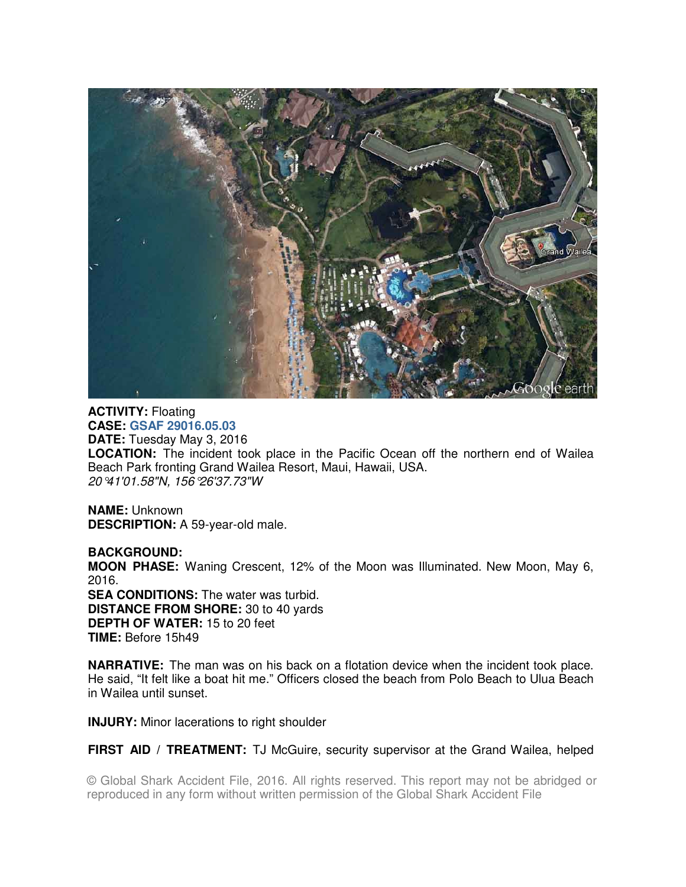

**ACTIVITY:** Floating **CASE: GSAF 29016.05.03 DATE:** Tuesday May 3, 2016 **LOCATION:** The incident took place in the Pacific Ocean off the northern end of Wailea Beach Park fronting Grand Wailea Resort, Maui, Hawaii, USA. 20°41'01.58"N, 156°26'37.73"W

**NAME:** Unknown **DESCRIPTION:** A 59-year-old male.

**BACKGROUND: MOON PHASE:** Waning Crescent, 12% of the Moon was Illuminated. New Moon, May 6, 2016. **SEA CONDITIONS:** The water was turbid. **DISTANCE FROM SHORE:** 30 to 40 yards **DEPTH OF WATER:** 15 to 20 feet **TIME:** Before 15h49

**NARRATIVE:** The man was on his back on a flotation device when the incident took place. He said, "It felt like a boat hit me." Officers closed the beach from Polo Beach to Ulua Beach in Wailea until sunset.

**INJURY:** Minor lacerations to right shoulder

**FIRST AID / TREATMENT:** TJ McGuire, security supervisor at the Grand Wailea, helped

© Global Shark Accident File, 2016. All rights reserved. This report may not be abridged or reproduced in any form without written permission of the Global Shark Accident File